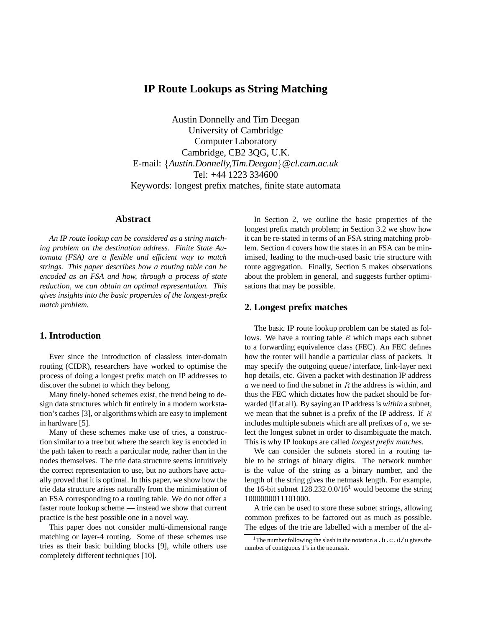# **IP Route Lookups as String Matching**

Austin Donnelly and Tim Deegan University of Cambridge Computer Laboratory Cambridge, CB2 3QG, U.K. E-mail: {Austin.Donnelly,Tim.Deegan}@cl.cam.ac.uk Tel: +44 1223 334600 Keywords: longest prefix matches, finite state automata

### **Abstract**

*An IP route lookup can be considered as a string matching problem on the destination address. Finite State Automata (FSA) are a flexible and efficient way to match strings. This paper describes how a routing table can be encoded as an FSA and how, through a process of state reduction, we can obtain an optimal representation. This gives insights into the basic properties of the longest-prefix match problem.*

### **1. Introduction**

Ever since the introduction of classless inter-domain routing (CIDR), researchers have worked to optimise the process of doing a longest prefix match on IP addresses to discover the subnet to which they belong.

Many finely-honed schemes exist, the trend being to design data structures which fit entirely in a modern workstation's caches [3], or algorithms which are easy to implement in hardware [5].

Many of these schemes make use of tries, a construction similar to a tree but where the search key is encoded in the path taken to reach a particular node, rather than in the nodes themselves. The trie data structure seems intuitively the correct representation to use, but no authors have actually proved that it is optimal. In this paper, we show how the trie data structure arises naturally from the minimisation of an FSA corresponding to a routing table. We do not offer a faster route lookup scheme — instead we show that current practice is the best possible one in a novel way.

This paper does not consider multi-dimensional range matching or layer-4 routing. Some of these schemes use tries as their basic building blocks [9], while others use completely different techniques [10].

In Section 2, we outline the basic properties of the longest prefix match problem; in Section 3.2 we show how it can be re-stated in terms of an FSA string matching problem. Section 4 covers how the states in an FSA can be minimised, leading to the much-used basic trie structure with route aggregation. Finally, Section 5 makes observations about the problem in general, and suggests further optimisations that may be possible.

#### **2. Longest prefix matches**

The basic IP route lookup problem can be stated as follows. We have a routing table  $R$  which maps each subnet to a forwarding equivalence class (FEC). An FEC defines how the router will handle a particular class of packets. It may specify the outgoing queue / interface, link-layer next hop details, etc. Given a packet with destination IP address a we need to find the subnet in R the address is within, and thus the FEC which dictates how the packet should be forwarded (if at all). By saying an IP address is *within* a subnet, we mean that the subnet is a prefix of the IP address. If <sup>R</sup> includes multiple subnets which are all prefixes of  $a$ , we select the longest subnet in order to disambiguate the match. This is why IP lookups are called *longest prefix matches*.

We can consider the subnets stored in a routing table to be strings of binary digits. The network number is the value of the string as a binary number, and the length of the string gives the netmask length. For example, the 16-bit subnet  $128.232.0.0/16<sup>1</sup>$  would become the string 1000000011101000.

A trie can be used to store these subnet strings, allowing common prefixes to be factored out as much as possible. The edges of the trie are labelled with a member of the al-

<sup>&</sup>lt;sup>1</sup>The number following the slash in the notation  $a.b.c.d/n$  gives the number of contiguous 1's in the netmask.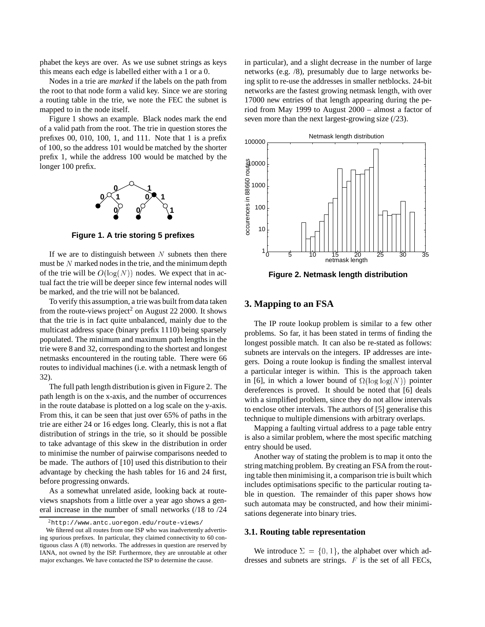phabet the keys are over. As we use subnet strings as keys this means each edge is labelled either with a 1 or a 0.

Nodes in a trie are *marked* if the labels on the path from the root to that node form a valid key. Since we are storing a routing table in the trie, we note the FEC the subnet is mapped to in the node itself.

Figure 1 shows an example. Black nodes mark the end of a valid path from the root. The trie in question stores the prefixes 00, 010, 100, 1, and 111. Note that 1 is a prefix of 100, so the address 101 would be matched by the shorter prefix 1, while the address 100 would be matched by the longer 100 prefix.



**Figure 1. A trie storing 5 prefixes**

If we are to distinguish between  $N$  subnets then there must be  $N$  marked nodes in the trie, and the minimum depth of the trie will be  $O(log(N))$  nodes. We expect that in actual fact the trie will be deeper since few internal nodes will be marked, and the trie will not be balanced.

To verify this assumption, a trie was built from data taken from the route-views project<sup>2</sup> on August 22 2000. It shows that the trie is in fact quite unbalanced, mainly due to the multicast address space (binary prefix 1110) being sparsely populated. The minimum and maximum path lengths in the trie were 8 and 32, corresponding to the shortest and longest netmasks encountered in the routing table. There were 66 routes to individual machines (i.e. with a netmask length of 32).

The full path length distribution is given in Figure 2. The path length is on the x-axis, and the number of occurrences in the route database is plotted on a log scale on the y-axis. From this, it can be seen that just over 65% of paths in the trie are either 24 or 16 edges long. Clearly, this is not a flat distribution of strings in the trie, so it should be possible to take advantage of this skew in the distribution in order to minimise the number of pairwise comparisons needed to be made. The authors of [10] used this distribution to their advantage by checking the hash tables for 16 and 24 first, before progressing onwards.

As a somewhat unrelated aside, looking back at routeviews snapshots from a little over a year ago shows a general increase in the number of small networks (/18 to /24 in particular), and a slight decrease in the number of large networks (e.g. /8), presumably due to large networks being split to re-use the addresses in smaller netblocks. 24-bit networks are the fastest growing netmask length, with over 17000 new entries of that length appearing during the period from May 1999 to August 2000 – almost a factor of seven more than the next largest-growing size (/23).



**Figure 2. Netmask length distribution**

#### **3. Mapping to an FSA**

The IP route lookup problem is similar to a few other problems. So far, it has been stated in terms of finding the longest possible match. It can also be re-stated as follows: subnets are intervals on the integers. IP addresses are integers. Doing a route lookup is finding the smallest interval a particular integer is within. This is the approach taken in [6], in which a lower bound of  $\Omega(\log \log(N))$  pointer dereferences is proved. It should be noted that [6] deals with a simplified problem, since they do not allow intervals to enclose other intervals. The authors of [5] generalise this technique to multiple dimensions with arbitrary overlaps.

Mapping a faulting virtual address to a page table entry is also a similar problem, where the most specific matching entry should be used.

Another way of stating the problem is to map it onto the string matching problem. By creating an FSA from the routing table then minimising it, a comparison trie is built which includes optimisations specific to the particular routing table in question. The remainder of this paper shows how such automata may be constructed, and how their minimisations degenerate into binary tries.

### **3.1. Routing table representation**

We introduce  $\Sigma = \{0, 1\}$ , the alphabet over which addresses and subnets are strings. <sup>F</sup> is the set of all FECs,

 $^{2}$ http://www.antc.uoregon.edu/route-views/

We filtered out all routes from one ISP who was inadvertently advertising spurious prefixes. In particular, they claimed connectivity to 60 contiguous class A (/8) networks. The addresses in question are reserved by IANA, not owned by the ISP. Furthermore, they are unroutable at other major exchanges. We have contacted the ISP to determine the cause.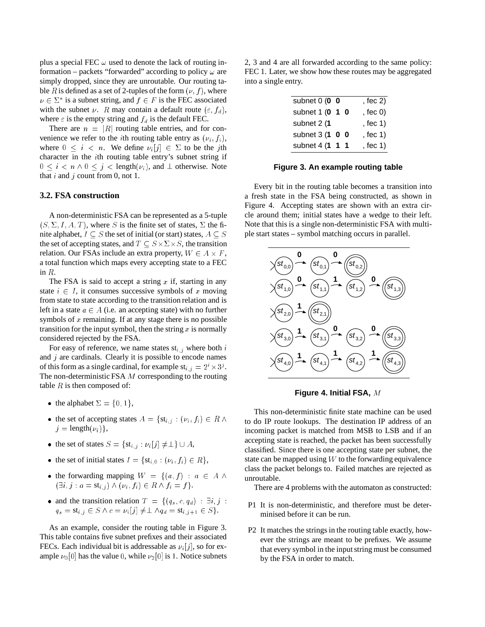plus a special FEC  $\omega$  used to denote the lack of routing information – packets "forwarded" according to policy  $\omega$  are simply dropped, since they are unroutable. Our routing table R is defined as a set of 2-tuples of the form  $(\nu, f)$ , where  $\nu \in \Sigma^*$  is a subnet string, and  $f \in F$  is the FEC associated with the subnet  $\nu$ . R may contain a default route  $(\varepsilon, f_d)$ , where  $\varepsilon$  is the empty string and  $f_d$  is the default FEC.

There are  $n = |R|$  routing table entries, and for convenience we refer to the *i*th routing table entry as  $(\nu_i, f_i)$ , where  $0 \leq i \leq n$ . We define  $\nu_i[j] \in \Sigma$  to be the jth character in the <sup>i</sup>th routing table entry's subnet string if  $0 \leq i < n \wedge 0 \leq j < \text{length}(\nu_i)$ , and  $\perp$  otherwise. Note that i and j count from 0, not 1.

#### **3.2. FSA construction**

A non-deterministic FSA can be represented as a 5-tuple  $(S, \Sigma, I, A, T)$ , where S is the finite set of states,  $\Sigma$  the finite alphabet,  $I \subseteq S$  the set of initial (or start) states,  $A \subseteq S$ the set of accepting states, and  $T \subseteq S \times \Sigma \times S$ , the transition relation. Our FSAs include an extra property,  $W \in A \times F$ , a total function which maps every accepting state to a FEC in <sup>R</sup>.

The FSA is said to accept a string  $x$  if, starting in any state  $i \in I$ , it consumes successive symbols of x moving from state to state according to the transition relation and is left in a state  $a \in A$  (i.e. an accepting state) with no further symbols of  $x$  remaining. If at any stage there is no possible transition for the input symbol, then the string  $x$  is normally considered rejected by the FSA.

For easy of reference, we name states  $st_{i,j}$  where both i and  $j$  are cardinals. Clearly it is possible to encode names of this form as a single cardinal, for example  $st_{i,j} = 2^i \times 3^j$ . The non-deterministic FSA <sup>M</sup> corresponding to the routing table  $R$  is then composed of:

- the alphabet  $\Sigma = \{0, 1\},\$
- the set of accepting states  $A = \{st_{i,j} : (\nu_i, f_i) \in R \land \}$  $i =$  length $(v_i)$ ,
- the set of states  $S = \{st_{i,j} : \nu_i[j] \neq \perp\} \cup A$ ,
- the set of initial states  $I = \{st_{i,0} : (\nu_i, f_i) \in R\},\$
- the forwarding mapping  $W = \{(a, f) : a \in A \land \emptyset\}$  $(\exists i, j : a = \mathrm{st}_{i,j}) \wedge (\nu_i, f_i) \in R \wedge f_i = f$ .
- and the transition relation  $T = \{(q_s, c, q_d) : \exists i, j$ :  $q_s = \mathrm{st}_{i,j} \in S \land c = \nu_i [j] \neq \perp \land q_d = \mathrm{st}_{i,j+1} \in S$ .

As an example, consider the routing table in Figure 3. This table contains five subnet prefixes and their associated FECs. Each individual bit is addressable as  $\nu_i[j]$ , so for example  $\nu_0[0]$  has the value 0, while  $\nu_2[0]$  is 1. Notice subnets

2, 3 and 4 are all forwarded according to the same policy: FEC 1. Later, we show how these routes may be aggregated into a single entry.

| subnet $0(0 0$  |  | , fec $2)$       |
|-----------------|--|------------------|
| subnet 1 (0 1 0 |  | , fec $\theta$ ) |
| subnet 2 (1     |  | , fec 1)         |
| subnet 3 (1 0 0 |  | , fec 1)         |
| subnet 4 (1 1 1 |  | , fec 1)         |

#### **Figure 3. An example routing table**

Every bit in the routing table becomes a transition into a fresh state in the FSA being constructed, as shown in Figure 4. Accepting states are shown with an extra circle around them; initial states have a wedge to their left. Note that this is a single non-deterministic FSA with multiple start states – symbol matching occurs in parallel.



**Figure 4. Initial FSA,** <sup>M</sup>

This non-deterministic finite state machine can be used to do IP route lookups. The destination IP address of an incoming packet is matched from MSB to LSB and if an accepting state is reached, the packet has been successfully classified. Since there is one accepting state per subnet, the state can be mapped using  $W$  to the forwarding equivalence class the packet belongs to. Failed matches are rejected as unroutable.

There are 4 problems with the automaton as constructed:

- P1 It is non-deterministic, and therefore must be determinised before it can be run.
- P2 It matches the strings in the routing table exactly, however the strings are meant to be prefixes. We assume that every symbol in the input string must be consumed by the FSA in order to match.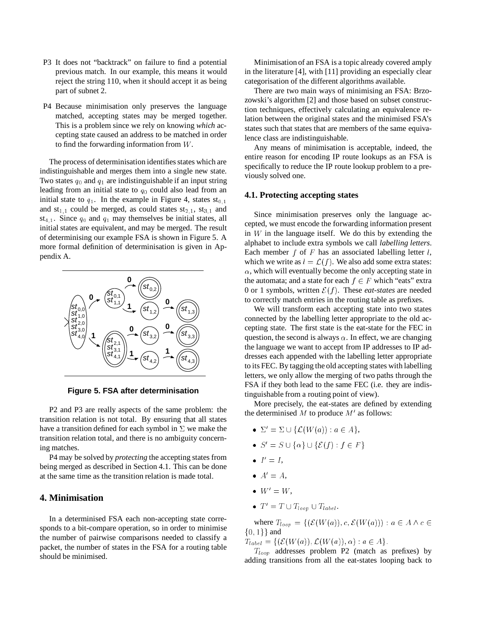- P3 It does not "backtrack" on failure to find a potential previous match. In our example, this means it would reject the string 110, when it should accept it as being part of subnet 2.
- P4 Because minimisation only preserves the language matched, accepting states may be merged together. This is a problem since we rely on knowing *which* accepting state caused an address to be matched in order to find the forwarding information from <sup>W</sup>.

The process of determinisation identifies states which are indistinguishable and merges them into a single new state. Two states  $q_0$  and  $q_1$  are indistinguishable if an input string leading from an initial state to  $q_0$  could also lead from an initial state to  $q_1$ . In the example in Figure 4, states  $st_{0,1}$ and  $st_{1,1}$  could be merged, as could states  $st_{2,1}$ ,  $st_{3,1}$  and st<sub>4,1</sub>. Since  $q_0$  and  $q_1$  may themselves be initial states, all initial states are equivalent, and may be merged. The result of determinising our example FSA is shown in Figure 5. A more formal definition of determinisation is given in Appendix A.



**Figure 5. FSA after determinisation**

P2 and P3 are really aspects of the same problem: the transition relation is not total. By ensuring that all states have a transition defined for each symbol in  $\Sigma$  we make the transition relation total, and there is no ambiguity concerning matches.

P4 may be solved by *protecting* the accepting states from being merged as described in Section 4.1. This can be done at the same time as the transition relation is made total.

### **4. Minimisation**

In a determinised FSA each non-accepting state corresponds to a bit-compare operation, so in order to minimise the number of pairwise comparisons needed to classify a packet, the number of states in the FSA for a routing table should be minimised.

Minimisation of an FSA is a topic already covered amply in the literature [4], with [11] providing an especially clear categorisation of the different algorithms available.

There are two main ways of minimising an FSA: Brzozowski's algorithm [2] and those based on subset construction techniques, effectively calculating an equivalence relation between the original states and the minimised FSA's states such that states that are members of the same equivalence class are indistinguishable.

Any means of minimisation is acceptable, indeed, the entire reason for encoding IP route lookups as an FSA is specifically to reduce the IP route lookup problem to a previously solved one.

#### **4.1. Protecting accepting states**

Since minimisation preserves only the language accepted, we must encode the forwarding information present in  $W$  in the language itself. We do this by extending the alphabet to include extra symbols we call *labelling letters*. Each member  $f$  of  $F$  has an associated labelling letter  $l$ , which we write as  $l = \mathcal{L}(f)$ . We also add some extra states:  $\alpha$ , which will eventually become the only accepting state in the automata; and a state for each  $f \in F$  which "eats" extra 0 or 1 symbols, written  $\mathcal{E}(f)$ . These *eat-states* are needed to correctly match entries in the routing table as prefixes.

We will transform each accepting state into two states connected by the labelling letter appropriate to the old accepting state. The first state is the eat-state for the FEC in question, the second is always  $\alpha$ . In effect, we are changing the language we want to accept from IP addresses to IP addresses each appended with the labelling letter appropriate to its FEC. By tagging the old accepting states with labelling letters, we only allow the merging of two paths through the FSA if they both lead to the same FEC (i.e. they are indistinguishable from a routing point of view).

More precisely, the eat-states are defined by extending the determinised  $M$  to produce  $M'$  as follows:

- $\bullet \Sigma' = \Sigma \cup \{ \mathcal{L}(W(a)) : a \in A \},\$
- $\bullet S' = S \cup {\alpha} \cup {\mathcal{E}(f) : f \in F}$
- $I'=I,$
- $A'=A,$
- $W' = W,$
- $T' = T \cup T_{loop} \cup T_{label}.$

where  $T_{loop} = \{(\mathcal{E}(W(a)), c, \mathcal{E}(W(a))): a \in A \land c \in \mathcal{E}(W(a))\}$  $\{0, 1\}$  and

 $T_{label} = \{ (\mathcal{E}(W(a)), \mathcal{L}(W(a)), \alpha) : a \in A \}.$ 

 $T_{loop}$  addresses problem P2 (match as prefixes) by adding transitions from all the eat-states looping back to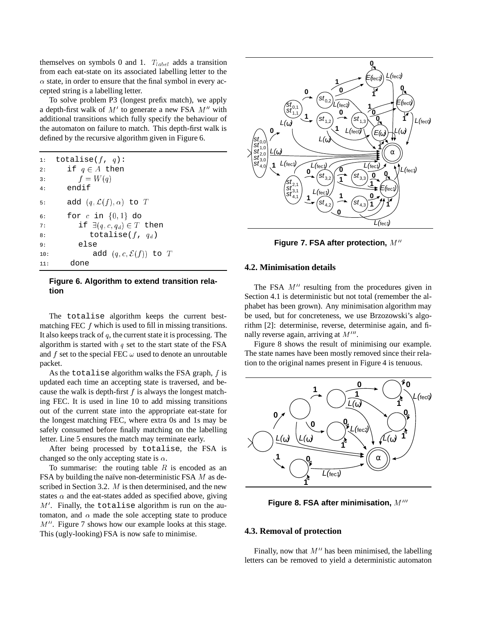themselves on symbols 0 and 1.  $T_{label}$  adds a transition from each eat-state on its associated labelling letter to the  $\alpha$  state, in order to ensure that the final symbol in every accepted string is a labelling letter.

To solve problem P3 (longest prefix match), we apply a depth-first walk of  $M'$  to generate a new FSA  $M''$  with additional transitions which fully specify the behaviour of the automaton on failure to match. This depth-first walk is defined by the recursive algorithm given in Figure 6.

| 1:               | totalise( $f, q$ ):                      |
|------------------|------------------------------------------|
| 2:               | if $q \in A$ then                        |
| $\overline{3}$ : | $f = W(q)$                               |
| 4:               | endif                                    |
| 5:               | add $(q, \mathcal{L}(f), \alpha)$ to $T$ |
| 6:               | for $c$ in $\{0,1\}$ do                  |
| 7:               | if $\exists (q, c, q_d) \in T$ then      |
| 8:               | totalise( $f, q_d$ )                     |
| 9:               | else                                     |
| 10:              | add $(q, c, \mathcal{E}(f))$ to $T$      |
| 11:              | one                                      |

#### **Figure 6. Algorithm to extend transition relation**

The totalise algorithm keeps the current bestmatching FEC  $f$  which is used to fill in missing transitions. It also keeps track of  $q$ , the current state it is processing. The algorithm is started with  $q$  set to the start state of the FSA and  $f$  set to the special FEC  $\omega$  used to denote an unroutable packet.

As the totalise algorithm walks the FSA graph,  $f$  is updated each time an accepting state is traversed, and because the walk is depth-first  $f$  is always the longest matching FEC. It is used in line 10 to add missing transitions out of the current state into the appropriate eat-state for the longest matching FEC, where extra 0s and 1s may be safely consumed before finally matching on the labelling letter. Line 5 ensures the match may terminate early.

After being processed by totalise, the FSA is changed so the only accepting state is  $\alpha$ .

To summarise: the routing table  $R$  is encoded as an FSA by building the naïve non-deterministic FSA  $M$  as described in Section 3.2. M is then determinised, and the new states  $\alpha$  and the eat-states added as specified above, giving  $M'$ . Finally, the totalise algorithm is run on the automaton, and  $\alpha$  made the sole accepting state to produce  $M''$ . Figure 7 shows how our example looks at this stage. This (ugly-looking) FSA is now safe to minimise.



**Figure 7. FSA after protection, M''** 

#### **4.2. Minimisation details**

The FSA  $M''$  resulting from the procedures given in Section 4.1 is deterministic but not total (remember the alphabet has been grown). Any minimisation algorithm may be used, but for concreteness, we use Brzozowski's algorithm [2]: determinise, reverse, determinise again, and finally reverse again, arriving at  $M^{\prime\prime\prime}$ .

Figure 8 shows the result of minimising our example. The state names have been mostly removed since their relation to the original names present in Figure 4 is tenuous.



**Figure 8. FSA after minimisation, M'"** 

### **4.3. Removal of protection**

Finally, now that  $M''$  has been minimised, the labelling letters can be removed to yield a deterministic automaton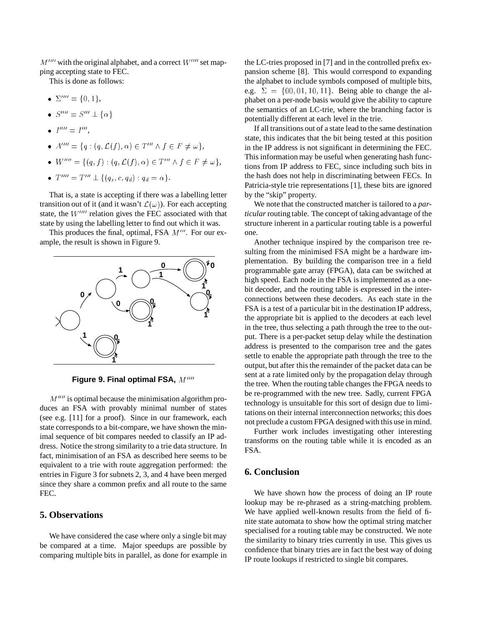$M^{\prime\prime\prime\prime}$  with the original alphabet, and a correct  $W^{\prime\prime\prime\prime}$  set mapping accepting state to FEC.

This is done as follows:

- $\bullet\ \Sigma'''' = \{0,1\},\$
- $\bullet$   $S^{\prime\prime\prime\prime} = S^{\prime\prime\prime} \pm {\alpha}$
- $I''' = I'''$ ,
- $\bullet$   $A^{\prime\prime\prime\prime} = \{q : (q, \mathcal{L}(f), \alpha) \in T^{\prime\prime\prime} \wedge f \in F \neq \omega \},$
- $\bullet \ \ W^{\prime\prime\prime\prime} = \{ (q, f) : (q, \mathcal{L}(f), \alpha) \in T^{\prime\prime\prime} \wedge f \in F \neq \omega \},\$
- $T''' = T''' \perp \{(q_s, c, q_d) : q_d = \alpha\}.$

That is, a state is accepting if there was a labelling letter transition out of it (and it wasn't  $\mathcal{L}(\omega)$ ). For each accepting state, the  $W^{\prime\prime\prime\prime}$  relation gives the FEC associated with that state by using the labelling letter to find out which it was.

This produces the final, optimal, FSA  $M^{\prime\prime\prime}$ . For our example, the result is shown in Figure 9.



**Figure 9. Final optimal FSA, M''''** 

 $M^{\prime\prime\prime\prime}$  is optimal because the minimisation algorithm produces an FSA with provably minimal number of states (see e.g. [11] for a proof). Since in our framework, each state corresponds to a bit-compare, we have shown the minimal sequence of bit compares needed to classify an IP address. Notice the strong similarity to a trie data structure. In fact, minimisation of an FSA as described here seems to be equivalent to a trie with route aggregation performed: the entries in Figure 3 for subnets 2, 3, and 4 have been merged since they share a common prefix and all route to the same FEC.

### **5. Observations**

We have considered the case where only a single bit may be compared at a time. Major speedups are possible by comparing multiple bits in parallel, as done for example in the LC-tries proposed in [7] and in the controlled prefix expansion scheme [8]. This would correspond to expanding the alphabet to include symbols composed of multiple bits, e.g.  $\Sigma = \{00, 01, 10, 11\}$ . Being able to change the alphabet on a per-node basis would give the ability to capture the semantics of an LC-trie, where the branching factor is potentially different at each level in the trie.

If all transitions out of a state lead to the same destination state, this indicates that the bit being tested at this position in the IP address is not significant in determining the FEC. This information may be useful when generating hash functions from IP address to FEC, since including such bits in the hash does not help in discriminating between FECs. In Patricia-style trie representations [1], these bits are ignored by the "skip" property.

We note that the constructed matcher is tailored to a *particular*routing table. The concept of taking advantage of the structure inherent in a particular routing table is a powerful one.

Another technique inspired by the comparison tree resulting from the minimised FSA might be a hardware implementation. By building the comparison tree in a field programmable gate array (FPGA), data can be switched at high speed. Each node in the FSA is implemented as a onebit decoder, and the routing table is expressed in the interconnections between these decoders. As each state in the FSA is a test of a particular bit in the destination IP address, the appropriate bit is applied to the decoders at each level in the tree, thus selecting a path through the tree to the output. There is a per-packet setup delay while the destination address is presented to the comparison tree and the gates settle to enable the appropriate path through the tree to the output, but after this the remainder of the packet data can be sent at a rate limited only by the propagation delay through the tree. When the routing table changes the FPGA needs to be re-programmed with the new tree. Sadly, current FPGA technology is unsuitable for this sort of design due to limitations on their internal interconnection networks; this does not preclude a custom FPGA designed with this use in mind.

Further work includes investigating other interesting transforms on the routing table while it is encoded as an FSA.

## **6. Conclusion**

We have shown how the process of doing an IP route lookup may be re-phrased as a string-matching problem. We have applied well-known results from the field of finite state automata to show how the optimal string matcher specialised for a routing table may be constructed. We note the similarity to binary tries currently in use. This gives us confidence that binary tries are in fact the best way of doing IP route lookups if restricted to single bit compares.